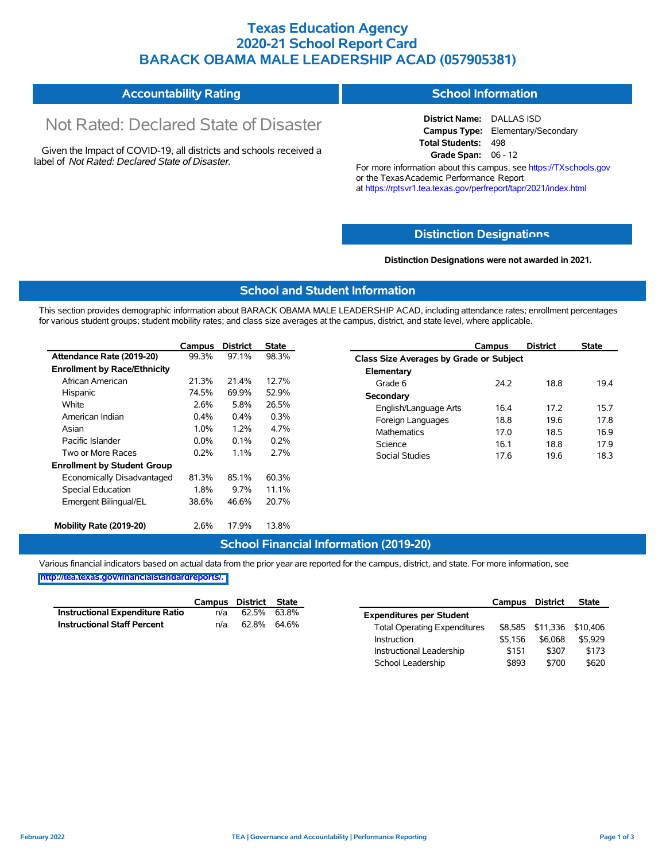## **Texas Education Agency 2020-21 School Report Card BARACK OBAMA MALE LEADERSHIP ACAD (057905381)**

#### **Accountability Rating School Information**

# Not Rated: Declared State of Disaster

Given the Impact of COVID-19, all districts and schools received a label of *Not Rated: Declared State of Disaster.*

**District Name:** DALLAS ISD **Campus Type:** Elementary/Secondary **Total Students:** 498 **Grade Span:** 06 - 12

For more information about this campus, see https://TXschools.gov or the Texas Academic Performance Report at https://rptsvr1.tea.texas.gov/perfreport/tapr/2021/index.html

#### **Distinction Designat[ions](https://TXschools.gov)**

**Distinction Designations were not awarded in 2021.**

School Leadership  $$893$  \$700 \$620

#### **School and Student Information**

This section provides demographic information about BARACK OBAMA MALE LEADERSHIP ACAD, including attendance rates; enrollment percentages for various student groups; student mobility rates; and class size averages at the campus, district, and state level, where applicable.

|                                     | Campus  | <b>District</b> | <b>State</b> | Campus                        | <b>District</b>                                | <b>State</b> |  |  |  |  |  |
|-------------------------------------|---------|-----------------|--------------|-------------------------------|------------------------------------------------|--------------|--|--|--|--|--|
| Attendance Rate (2019-20)           | 99.3%   | 97.1%           | 98.3%        |                               | <b>Class Size Averages by Grade or Subject</b> |              |  |  |  |  |  |
| <b>Enrollment by Race/Ethnicity</b> |         |                 |              | Elementary                    |                                                |              |  |  |  |  |  |
| African American                    | 21.3%   | 21.4%           | 12.7%        | 24.2<br>Grade 6               | 18.8                                           | 19.4         |  |  |  |  |  |
| Hispanic                            | 74.5%   | 69.9%           | 52.9%        | Secondary                     |                                                |              |  |  |  |  |  |
| White                               | 2.6%    | 5.8%            | 26.5%        | English/Language Arts<br>16.4 | 17.2                                           | 15.7         |  |  |  |  |  |
| American Indian                     | $0.4\%$ | 0.4%            | 0.3%         | Foreign Languages<br>18.8     | 19.6                                           | 17.8         |  |  |  |  |  |
| Asian                               | 1.0%    | 1.2%            | 4.7%         | <b>Mathematics</b><br>17.0    | 18.5                                           | 16.9         |  |  |  |  |  |
| Pacific Islander                    | 0.0%    | 0.1%            | 0.2%         | Science<br>16.1               | 18.8                                           | 17.9         |  |  |  |  |  |
| Two or More Races                   | 0.2%    | 1.1%            | 2.7%         | 17.6<br><b>Social Studies</b> | 19.6                                           | 18.3         |  |  |  |  |  |
| <b>Enrollment by Student Group</b>  |         |                 |              |                               |                                                |              |  |  |  |  |  |
| Economically Disadvantaged          | 81.3%   | 85.1%           | 60.3%        |                               |                                                |              |  |  |  |  |  |
| Special Education                   | 1.8%    | 9.7%            | 11.1%        |                               |                                                |              |  |  |  |  |  |
| Emergent Bilingual/EL               | 38.6%   | 46.6%           | 20.7%        |                               |                                                |              |  |  |  |  |  |
|                                     |         |                 |              |                               |                                                |              |  |  |  |  |  |
| Mobility Rate (2019-20)             | 2.6%    | 17.9%           | 13.8%        |                               |                                                |              |  |  |  |  |  |

#### **School Financial Information (2019-20)**

Various financial indicators based on actual data from the prior year are reported for the campus, district, and state. For more information, see

**[http://tea.texas.gov/financialstandardreports/.](http://tea.texas.gov/financialstandardreports/)**

|                                    | Campus | District | State |                                     | Campus  | <b>District</b>           | <b>State</b> |
|------------------------------------|--------|----------|-------|-------------------------------------|---------|---------------------------|--------------|
| Instructional Expenditure Ratio    | n/a    | 62.5%    | 63.8% | <b>Expenditures per Student</b>     |         |                           |              |
| <b>Instructional Staff Percent</b> | n/a    | 62.8%    | 64.6% | <b>Total Operating Expenditures</b> |         | \$8,585 \$11,336 \$10,406 |              |
|                                    |        |          |       | Instruction                         | \$5.156 | \$6.068                   | \$5.929      |
|                                    |        |          |       | Instructional Leadership            | \$151   | \$307                     | \$173        |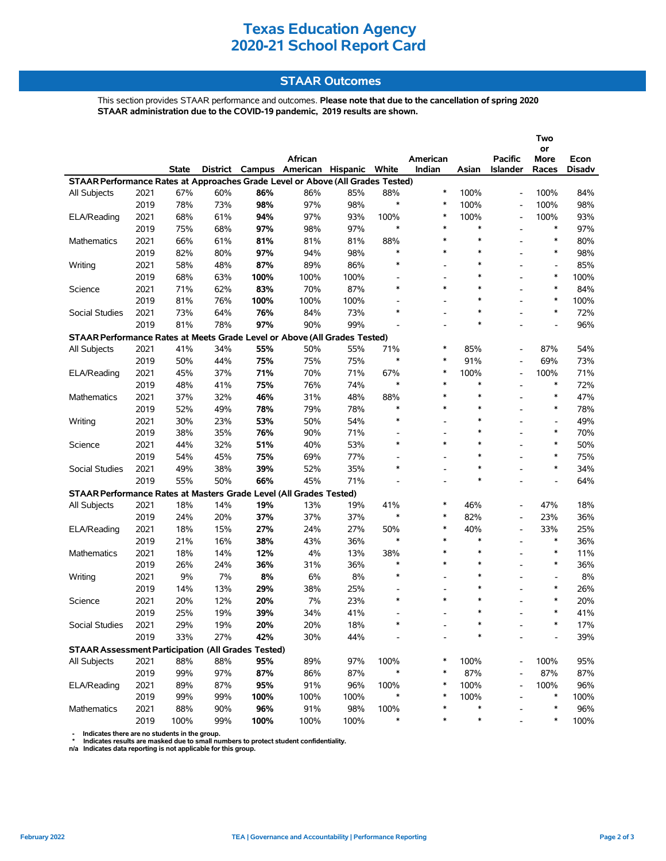# **Texas Education Agency 2020-21 School Report Card**

#### **STAAR Outcomes**

This section provides STAAR performance and outcomes. **Please note that due to the cancellation of spring 2020 STAAR administration due to the COVID-19 pandemic, 2019 results are shown.**

|                                                                                |      |              |          |      |                          |      |               |                                    |        |                          | Two                                |        |
|--------------------------------------------------------------------------------|------|--------------|----------|------|--------------------------|------|---------------|------------------------------------|--------|--------------------------|------------------------------------|--------|
|                                                                                |      |              |          |      | African                  |      |               | American                           |        | <b>Pacific</b>           | or<br>More                         | Econ   |
|                                                                                |      | <b>State</b> | District |      | Campus American Hispanic |      | White         | Indian                             | Asian  | <b>Islander</b>          | Races                              | Disadv |
| STAAR Performance Rates at Approaches Grade Level or Above (All Grades Tested) |      |              |          |      |                          |      |               |                                    |        |                          |                                    |        |
| All Subjects                                                                   | 2021 | 67%          | 60%      | 86%  | 86%                      | 85%  | 88%           | $\ast$                             | 100%   |                          | 100%                               | 84%    |
|                                                                                | 2019 | 78%          | 73%      | 98%  | 97%                      | 98%  | $\ast$        | $\ast$                             | 100%   | $\overline{\phantom{a}}$ | 100%                               | 98%    |
| ELA/Reading                                                                    | 2021 | 68%          | 61%      | 94%  | 97%                      | 93%  | 100%          | $\ast$                             | 100%   |                          | 100%                               | 93%    |
|                                                                                | 2019 | 75%          | 68%      | 97%  | 98%                      | 97%  | $\ast$        | $\ast$                             | $\ast$ | $\blacksquare$           | $\ast$                             | 97%    |
| <b>Mathematics</b>                                                             | 2021 | 66%          | 61%      | 81%  | 81%                      | 81%  | 88%           | $\ast$                             | $\ast$ |                          | $\ast$                             | 80%    |
|                                                                                | 2019 | 82%          | 80%      | 97%  | 94%                      | 98%  | $\ast$        | $\ast$                             | $\ast$ |                          | $\ast$                             | 98%    |
| Writing                                                                        | 2021 | 58%          | 48%      | 87%  | 89%                      | 86%  | $\ast$        | $\overline{\phantom{a}}$           | $\ast$ |                          | $\blacksquare$                     | 85%    |
|                                                                                | 2019 | 68%          | 63%      | 100% | 100%                     | 100% |               | $\overline{a}$                     | $\ast$ |                          | $\ast$                             | 100%   |
| Science                                                                        | 2021 | 71%          | 62%      | 83%  | 70%                      | 87%  | $\ast$        | $\ast$                             | $\ast$ |                          | $\ast$                             | 84%    |
|                                                                                | 2019 | 81%          | 76%      | 100% | 100%                     | 100% |               | $\overline{\phantom{a}}$           | $\ast$ |                          | $\ast$                             | 100%   |
| Social Studies                                                                 | 2021 | 73%          | 64%      | 76%  | 84%                      | 73%  | $\ast$        |                                    | $\ast$ |                          | $\ast$                             | 72%    |
|                                                                                | 2019 | 81%          | 78%      | 97%  | 90%                      | 99%  |               |                                    | $\ast$ |                          |                                    | 96%    |
| STAAR Performance Rates at Meets Grade Level or Above (All Grades Tested)      |      |              |          |      |                          |      |               |                                    |        |                          |                                    |        |
| All Subjects                                                                   | 2021 | 41%          | 34%      | 55%  | 50%                      | 55%  | 71%           | ∗                                  | 85%    |                          | 87%                                | 54%    |
|                                                                                | 2019 | 50%          | 44%      | 75%  | 75%                      | 75%  | $\ast$        | $\ast$                             | 91%    |                          | 69%                                | 73%    |
| ELA/Reading                                                                    | 2021 | 45%          | 37%      | 71%  | 70%                      | 71%  | 67%           | ∗                                  | 100%   | $\blacksquare$           | 100%                               | 71%    |
|                                                                                | 2019 | 48%          | 41%      | 75%  | 76%                      | 74%  | $\ast$        | $\ast$                             | $\ast$ |                          | $\ast$                             | 72%    |
| <b>Mathematics</b>                                                             |      |              |          |      |                          | 48%  |               | $\ast$                             | $\ast$ |                          | $\ast$                             | 47%    |
|                                                                                | 2021 | 37%          | 32%      | 46%  | 31%                      |      | 88%<br>$\ast$ | $\ast$                             | $\ast$ |                          | $\ast$                             |        |
|                                                                                | 2019 | 52%          | 49%      | 78%  | 79%                      | 78%  | $\ast$        |                                    | $\ast$ |                          |                                    | 78%    |
| Writing                                                                        | 2021 | 30%          | 23%      | 53%  | 50%                      | 54%  |               | $\overline{\phantom{a}}$           | $\ast$ |                          | $\overline{\phantom{a}}$<br>$\ast$ | 49%    |
|                                                                                | 2019 | 38%          | 35%      | 76%  | 90%                      | 71%  | $\ast$        | $\overline{\phantom{a}}$<br>$\ast$ | $\ast$ |                          | $\ast$                             | 70%    |
| Science                                                                        | 2021 | 44%          | 32%      | 51%  | 40%                      | 53%  |               |                                    | $\ast$ |                          | $\ast$                             | 50%    |
|                                                                                | 2019 | 54%          | 45%      | 75%  | 69%                      | 77%  | $\ast$        | $\overline{\phantom{a}}$           | $\ast$ |                          | $\ast$                             | 75%    |
| Social Studies                                                                 | 2021 | 49%          | 38%      | 39%  | 52%                      | 35%  |               |                                    | $\ast$ |                          |                                    | 34%    |
|                                                                                | 2019 | 55%          | 50%      | 66%  | 45%                      | 71%  |               |                                    |        |                          |                                    | 64%    |
| STAAR Performance Rates at Masters Grade Level (All Grades Tested)             |      |              |          |      |                          |      |               |                                    |        |                          |                                    |        |
| All Subjects                                                                   | 2021 | 18%          | 14%      | 19%  | 13%                      | 19%  | 41%           | $\ast$                             | 46%    |                          | 47%                                | 18%    |
|                                                                                | 2019 | 24%          | 20%      | 37%  | 37%                      | 37%  | $\ast$        | $\ast$                             | 82%    |                          | 23%                                | 36%    |
| ELA/Reading                                                                    | 2021 | 18%          | 15%      | 27%  | 24%                      | 27%  | 50%           | *                                  | 40%    | $\overline{\phantom{a}}$ | 33%                                | 25%    |
|                                                                                | 2019 | 21%          | 16%      | 38%  | 43%                      | 36%  | $\ast$        | $\ast$                             | $\ast$ |                          | $\ast$                             | 36%    |
| Mathematics                                                                    | 2021 | 18%          | 14%      | 12%  | 4%                       | 13%  | 38%           | $\ast$                             | $\ast$ |                          | $\ast$                             | 11%    |
|                                                                                | 2019 | 26%          | 24%      | 36%  | 31%                      | 36%  | $\ast$        | $\ast$                             | $\ast$ |                          | $\ast$                             | 36%    |
| Writing                                                                        | 2021 | 9%           | 7%       | 8%   | 6%                       | 8%   | $\ast$        | $\overline{a}$                     | $\ast$ |                          | $\overline{\phantom{a}}$           | 8%     |
|                                                                                | 2019 | 14%          | 13%      | 29%  | 38%                      | 25%  |               |                                    | $\ast$ |                          | $\ast$                             | 26%    |
| Science                                                                        | 2021 | 20%          | 12%      | 20%  | 7%                       | 23%  | $\ast$        | $\ast$                             | $\ast$ |                          | $\ast$                             | 20%    |
|                                                                                | 2019 | 25%          | 19%      | 39%  | 34%                      | 41%  |               |                                    | $\ast$ |                          | $\ast$                             | 41%    |
| Social Studies                                                                 | 2021 | 29%          | 19%      | 20%  | 20%                      | 18%  |               |                                    |        |                          |                                    | 17%    |
|                                                                                | 2019 | 33%          | 27%      | 42%  | 30%                      | 44%  |               |                                    | $\ast$ |                          |                                    | 39%    |
| <b>STAAR Assessment Participation (All Grades Tested)</b>                      |      |              |          |      |                          |      |               |                                    |        |                          |                                    |        |
| All Subjects                                                                   | 2021 | 88%          | 88%      | 95%  | 89%                      | 97%  | 100%          | $\ast$                             | 100%   |                          | 100%                               | 95%    |
|                                                                                | 2019 | 99%          | 97%      | 87%  | 86%                      | 87%  |               | ∗                                  | 87%    |                          | 87%                                | 87%    |
| ELA/Reading                                                                    | 2021 | 89%          | 87%      | 95%  | 91%                      | 96%  | 100%          | ∗                                  | 100%   |                          | 100%                               | 96%    |
|                                                                                | 2019 | 99%          | 99%      | 100% | 100%                     | 100% |               | ∗                                  | 100%   |                          | ∗                                  | 100%   |
| Mathematics                                                                    | 2021 | 88%          | 90%      | 96%  | 91%                      | 98%  | 100%          | *                                  | $\ast$ |                          | $\ast$                             | 96%    |
|                                                                                | 2019 | 100%         | 99%      | 100% | 100%                     | 100% | $\ast$        | *                                  | $\ast$ |                          | $\ast$                             | 100%   |

- Indicates there are no students in the group.<br>\* Indicates results are masked due to small numbers to protect student confidentiality.<br>n/a Indicates data reporting is not applicable for this group.